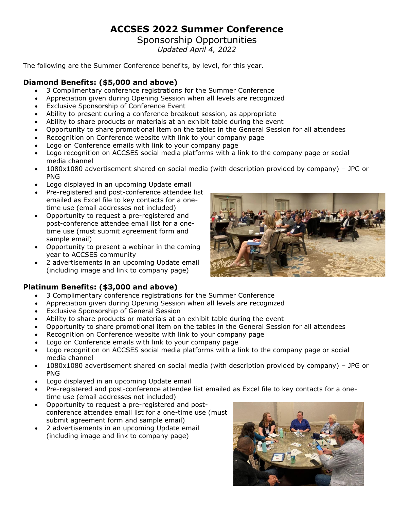## **ACCSES 2022 Summer Conference**

# Sponsorship Opportunities

*Updated April 4, 2022*

The following are the Summer Conference benefits, by level, for this year.

#### **Diamond Benefits: (\$5,000 and above)**

- 3 Complimentary conference registrations for the Summer Conference
- Appreciation given during Opening Session when all levels are recognized
- Exclusive Sponsorship of Conference Event
- Ability to present during a conference breakout session, as appropriate
- Ability to share products or materials at an exhibit table during the event
- Opportunity to share promotional item on the tables in the General Session for all attendees
- Recognition on Conference website with link to your company page
- Logo on Conference emails with link to your company page
- Logo recognition on ACCSES social media platforms with a link to the company page or social media channel
- 1080x1080 advertisement shared on social media (with description provided by company) JPG or PNG
- Logo displayed in an upcoming Update email
- Pre-registered and post-conference attendee list emailed as Excel file to key contacts for a onetime use (email addresses not included)
- Opportunity to request a pre-registered and post-conference attendee email list for a onetime use (must submit agreement form and sample email)
- Opportunity to present a webinar in the coming year to ACCSES community
- 2 advertisements in an upcoming Update email (including image and link to company page)

### **Platinum Benefits: (\$3,000 and above)**

- 3 Complimentary conference registrations for the Summer Conference
- Appreciation given during Opening Session when all levels are recognized
- Exclusive Sponsorship of General Session
- Ability to share products or materials at an exhibit table during the event
- Opportunity to share promotional item on the tables in the General Session for all attendees
- Recognition on Conference website with link to your company page
- Logo on Conference emails with link to your company page
- Logo recognition on ACCSES social media platforms with a link to the company page or social media channel
- 1080x1080 advertisement shared on social media (with description provided by company) JPG or PNG
- Logo displayed in an upcoming Update email
- Pre-registered and post-conference attendee list emailed as Excel file to key contacts for a onetime use (email addresses not included)
- Opportunity to request a pre-registered and postconference attendee email list for a one-time use (must submit agreement form and sample email)
- 2 advertisements in an upcoming Update email (including image and link to company page)